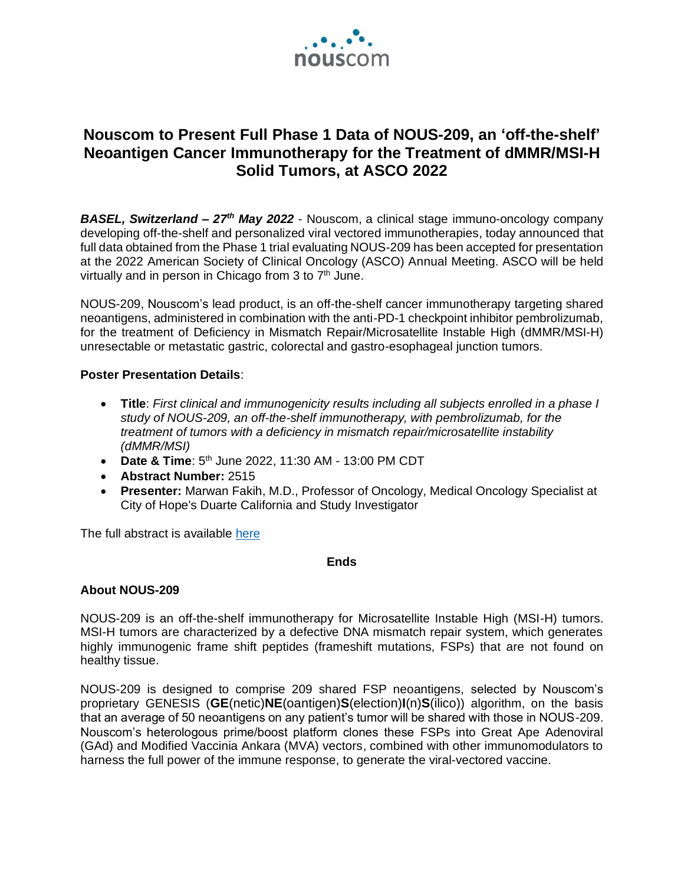

# **Nouscom to Present Full Phase 1 Data of NOUS-209, an 'off-the-shelf' Neoantigen Cancer Immunotherapy for the Treatment of dMMR/MSI-H Solid Tumors, at ASCO 2022**

*BASEL, Switzerland – 27th May 2022* - Nouscom, a clinical stage immuno-oncology company developing off-the-shelf and personalized viral vectored immunotherapies, today announced that full data obtained from the Phase 1 trial evaluating NOUS-209 has been accepted for presentation at the 2022 American Society of Clinical Oncology (ASCO) Annual Meeting. ASCO will be held virtually and in person in Chicago from 3 to 7<sup>th</sup> June.

NOUS-209, Nouscom's lead product, is an off-the-shelf cancer immunotherapy targeting shared neoantigens, administered in combination with the anti-PD-1 checkpoint inhibitor pembrolizumab, for the treatment of Deficiency in Mismatch Repair/Microsatellite Instable High (dMMR/MSI-H) unresectable or metastatic gastric, colorectal and gastro-esophageal junction tumors.

## **Poster Presentation Details**:

- **Title**: *First clinical and immunogenicity results including all subjects enrolled in a phase I study of NOUS-209, an off-the-shelf immunotherapy, with pembrolizumab, for the treatment of tumors with a deficiency in mismatch repair/microsatellite instability (dMMR/MSI)*
- Date & Time: 5<sup>th</sup> June 2022, 11:30 AM 13:00 PM CDT
- **Abstract Number:** 2515
- **Presenter:** Marwan Fakih, M.D., Professor of Oncology, Medical Oncology Specialist at City of Hope's Duarte California and Study Investigator

The full abstract is available [here](https://meetings.asco.org/abstracts-presentations/207598)

#### **Ends**

# **About NOUS-209**

NOUS-209 is an off-the-shelf immunotherapy for Microsatellite Instable High (MSI-H) tumors. MSI-H tumors are characterized by a defective DNA mismatch repair system, which generates highly immunogenic frame shift peptides (frameshift mutations, FSPs) that are not found on healthy tissue.

NOUS-209 is designed to comprise 209 shared FSP neoantigens, selected by Nouscom's proprietary GENESIS (**GE**(netic)**NE**(oantigen)**S**(election)**I**(n)**S**(ilico)) algorithm, on the basis that an average of 50 neoantigens on any patient's tumor will be shared with those in NOUS-209. Nouscom's heterologous prime/boost platform clones these FSPs into Great Ape Adenoviral (GAd) and Modified Vaccinia Ankara (MVA) vectors, combined with other immunomodulators to harness the full power of the immune response, to generate the viral-vectored vaccine.